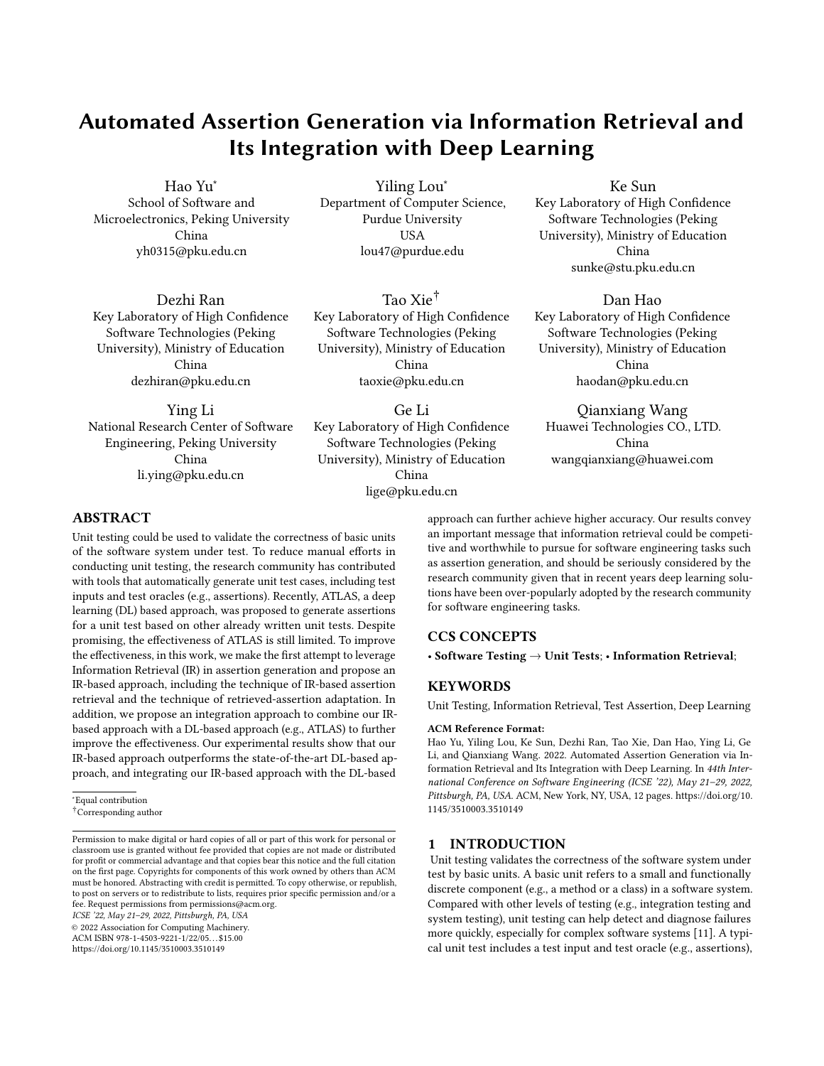# Automated Assertion Generation via Information Retrieval and Its Integration with Deep Learning

Hao Yu<sup>∗</sup> School of Software and Microelectronics, Peking University China yh0315@pku.edu.cn

Yiling Lou<sup>∗</sup> Department of Computer Science, Purdue University **USA** lou47@purdue.edu

Dezhi Ran Key Laboratory of High Confidence Software Technologies (Peking University), Ministry of Education China dezhiran@pku.edu.cn

Ying Li National Research Center of Software Engineering, Peking University China li.ying@pku.edu.cn

Tao Xie† Key Laboratory of High Confidence Software Technologies (Peking University), Ministry of Education China taoxie@pku.edu.cn

Ge Li Key Laboratory of High Confidence Software Technologies (Peking University), Ministry of Education China lige@pku.edu.cn

Ke Sun

Key Laboratory of High Confidence Software Technologies (Peking University), Ministry of Education China sunke@stu.pku.edu.cn

Dan Hao Key Laboratory of High Confidence Software Technologies (Peking University), Ministry of Education China haodan@pku.edu.cn

Qianxiang Wang Huawei Technologies CO., LTD. China wangqianxiang@huawei.com

# ABSTRACT

Unit testing could be used to validate the correctness of basic units of the software system under test. To reduce manual efforts in conducting unit testing, the research community has contributed with tools that automatically generate unit test cases, including test inputs and test oracles (e.g., assertions). Recently, ATLAS, a deep learning (DL) based approach, was proposed to generate assertions for a unit test based on other already written unit tests. Despite promising, the effectiveness of ATLAS is still limited. To improve the effectiveness, in this work, we make the first attempt to leverage Information Retrieval (IR) in assertion generation and propose an IR-based approach, including the technique of IR-based assertion retrieval and the technique of retrieved-assertion adaptation. In addition, we propose an integration approach to combine our IRbased approach with a DL-based approach (e.g., ATLAS) to further improve the effectiveness. Our experimental results show that our IR-based approach outperforms the state-of-the-art DL-based approach, and integrating our IR-based approach with the DL-based

ICSE '22, May 21–29, 2022, Pittsburgh, PA, USA

© 2022 Association for Computing Machinery.

ACM ISBN 978-1-4503-9221-1/22/05. . . \$15.00

<https://doi.org/10.1145/3510003.3510149>

approach can further achieve higher accuracy. Our results convey an important message that information retrieval could be competitive and worthwhile to pursue for software engineering tasks such as assertion generation, and should be seriously considered by the research community given that in recent years deep learning solutions have been over-popularly adopted by the research community for software engineering tasks.

# CCS CONCEPTS

• Software Testing  $\rightarrow$  Unit Tests; • Information Retrieval;

#### **KEYWORDS**

Unit Testing, Information Retrieval, Test Assertion, Deep Learning

#### ACM Reference Format:

Hao Yu, Yiling Lou, Ke Sun, Dezhi Ran, Tao Xie, Dan Hao, Ying Li, Ge Li, and Qianxiang Wang. 2022. Automated Assertion Generation via Information Retrieval and Its Integration with Deep Learning. In 44th International Conference on Software Engineering (ICSE '22), May 21–29, 2022, Pittsburgh, PA, USA. ACM, New York, NY, USA, [12](#page-11-0) pages. [https://doi.org/10.](https://doi.org/10.1145/3510003.3510149) [1145/3510003.3510149](https://doi.org/10.1145/3510003.3510149)

# 1 INTRODUCTION

Unit testing validates the correctness of the software system under test by basic units. A basic unit refers to a small and functionally discrete component (e.g., a method or a class) in a software system. Compared with other levels of testing (e.g., integration testing and system testing), unit testing can help detect and diagnose failures more quickly, especially for complex software systems [\[11\]](#page-10-0). A typical unit test includes a test input and test oracle (e.g., assertions),

<sup>∗</sup>Equal contribution

<sup>†</sup>Corresponding author

Permission to make digital or hard copies of all or part of this work for personal or classroom use is granted without fee provided that copies are not made or distributed for profit or commercial advantage and that copies bear this notice and the full citation on the first page. Copyrights for components of this work owned by others than ACM must be honored. Abstracting with credit is permitted. To copy otherwise, or republish, to post on servers or to redistribute to lists, requires prior specific permission and/or a fee. Request permissions from permissions@acm.org.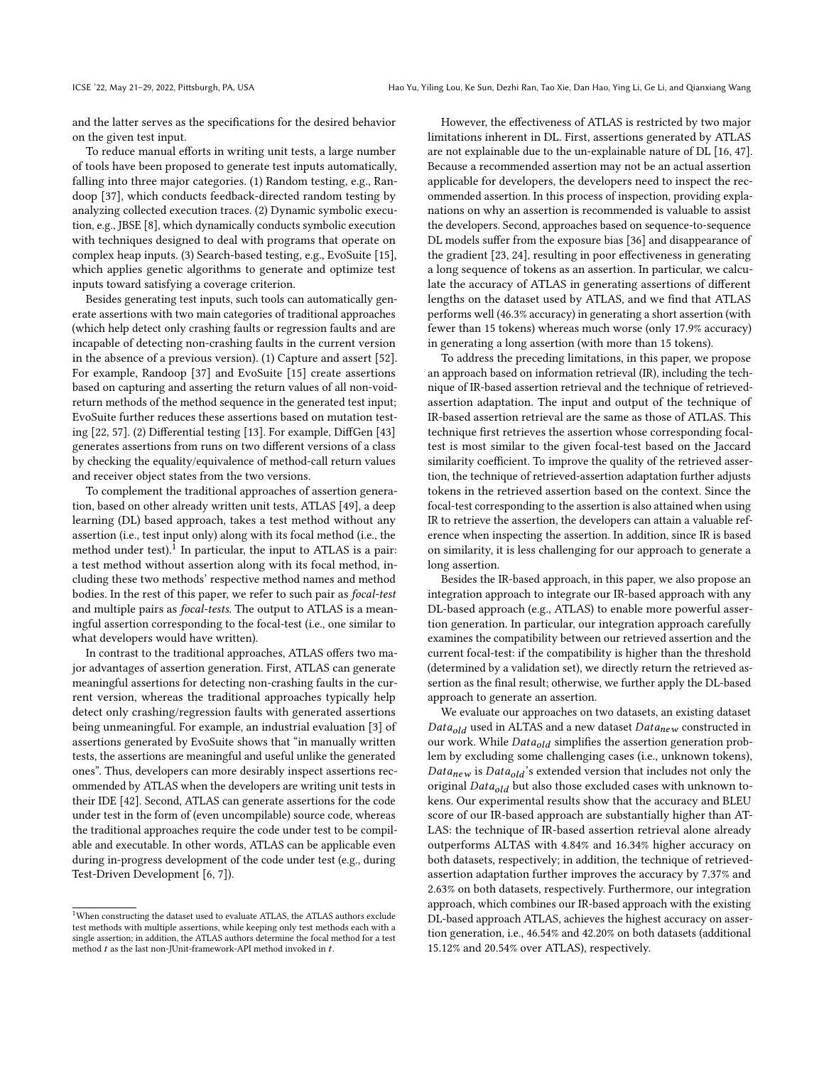and the latter serves as the specifications for the desired behavior on the given test input.

To reduce manual efforts in writing unit tests, a large number of tools have been proposed to generate test inputs automatically, falling into three major categories. (1) Random testing, e.g., Randoop [\[37\]](#page-11-1), which conducts feedback-directed random testing by analyzing collected execution traces. (2) Dynamic symbolic execution, e.g., JBSE [\[8\]](#page-10-1), which dynamically conducts symbolic execution with techniques designed to deal with programs that operate on complex heap inputs. (3) Search-based testing, e.g., EvoSuite [\[15\]](#page-10-2), which applies genetic algorithms to generate and optimize test inputs toward satisfying a coverage criterion.

Besides generating test inputs, such tools can automatically generate assertions with two main categories of traditional approaches (which help detect only crashing faults or regression faults and are incapable of detecting non-crashing faults in the current version in the absence of a previous version). (1) Capture and assert [\[52\]](#page-11-2). For example, Randoop [\[37\]](#page-11-1) and EvoSuite [\[15\]](#page-10-2) create assertions based on capturing and asserting the return values of all non-voidreturn methods of the method sequence in the generated test input; EvoSuite further reduces these assertions based on mutation testing [\[22,](#page-10-3) [57\]](#page-11-3). (2) Differential testing [\[13\]](#page-10-4). For example, DiffGen [\[43\]](#page-11-4) generates assertions from runs on two different versions of a class by checking the equality/equivalence of method-call return values and receiver object states from the two versions.

To complement the traditional approaches of assertion generation, based on other already written unit tests, ATLAS [\[49\]](#page-11-5), a deep learning (DL) based approach, takes a test method without any assertion (i.e., test input only) along with its focal method (i.e., the method under test). $^{\overline{1}}$  $^{\overline{1}}$  $^{\overline{1}}$  In particular, the input to ATLAS is a pair: a test method without assertion along with its focal method, including these two methods' respective method names and method bodies. In the rest of this paper, we refer to such pair as focal-test and multiple pairs as focal-tests. The output to ATLAS is a meaningful assertion corresponding to the focal-test (i.e., one similar to what developers would have written).

In contrast to the traditional approaches, ATLAS offers two major advantages of assertion generation. First, ATLAS can generate meaningful assertions for detecting non-crashing faults in the current version, whereas the traditional approaches typically help detect only crashing/regression faults with generated assertions being unmeaningful. For example, an industrial evaluation [\[3\]](#page-10-5) of assertions generated by EvoSuite shows that "in manually written tests, the assertions are meaningful and useful unlike the generated ones". Thus, developers can more desirably inspect assertions recommended by ATLAS when the developers are writing unit tests in their IDE [\[42\]](#page-11-6). Second, ATLAS can generate assertions for the code under test in the form of (even uncompilable) source code, whereas the traditional approaches require the code under test to be compilable and executable. In other words, ATLAS can be applicable even during in-progress development of the code under test (e.g., during Test-Driven Development [\[6,](#page-10-6) [7\]](#page-10-7)).

However, the effectiveness of ATLAS is restricted by two major limitations inherent in DL. First, assertions generated by ATLAS are not explainable due to the un-explainable nature of DL [\[16,](#page-10-8) [47\]](#page-11-7). Because a recommended assertion may not be an actual assertion applicable for developers, the developers need to inspect the recommended assertion. In this process of inspection, providing explanations on why an assertion is recommended is valuable to assist the developers. Second, approaches based on sequence-to-sequence DL models suffer from the exposure bias [\[36\]](#page-11-8) and disappearance of the gradient [\[23,](#page-10-9) [24\]](#page-10-10), resulting in poor effectiveness in generating a long sequence of tokens as an assertion. In particular, we calculate the accuracy of ATLAS in generating assertions of different lengths on the dataset used by ATLAS, and we find that ATLAS performs well (46.3% accuracy) in generating a short assertion (with fewer than 15 tokens) whereas much worse (only 17.9% accuracy) in generating a long assertion (with more than 15 tokens).

To address the preceding limitations, in this paper, we propose an approach based on information retrieval (IR), including the technique of IR-based assertion retrieval and the technique of retrievedassertion adaptation. The input and output of the technique of IR-based assertion retrieval are the same as those of ATLAS. This technique first retrieves the assertion whose corresponding focaltest is most similar to the given focal-test based on the Jaccard similarity coefficient. To improve the quality of the retrieved assertion, the technique of retrieved-assertion adaptation further adjusts tokens in the retrieved assertion based on the context. Since the focal-test corresponding to the assertion is also attained when using IR to retrieve the assertion, the developers can attain a valuable reference when inspecting the assertion. In addition, since IR is based on similarity, it is less challenging for our approach to generate a long assertion.

Besides the IR-based approach, in this paper, we also propose an integration approach to integrate our IR-based approach with any DL-based approach (e.g., ATLAS) to enable more powerful assertion generation. In particular, our integration approach carefully examines the compatibility between our retrieved assertion and the current focal-test: if the compatibility is higher than the threshold (determined by a validation set), we directly return the retrieved assertion as the final result; otherwise, we further apply the DL-based approach to generate an assertion.

We evaluate our approaches on two datasets, an existing dataset  $Data_{old}$  used in ALTAS and a new dataset  $Data_{new}$  constructed in our work. While  $Data_{old}$  simplifies the assertion generation problem by excluding some challenging cases (i.e., unknown tokens),  $Data_{new}$  is  $Data_{old}$ 's extended version that includes not only the original  $Data_{old}$  but also those excluded cases with unknown tokens. Our experimental results show that the accuracy and BLEU score of our IR-based approach are substantially higher than AT-LAS: the technique of IR-based assertion retrieval alone already outperforms ALTAS with 4.84% and 16.34% higher accuracy on both datasets, respectively; in addition, the technique of retrievedassertion adaptation further improves the accuracy by 7.37% and 2.63% on both datasets, respectively. Furthermore, our integration approach, which combines our IR-based approach with the existing DL-based approach ATLAS, achieves the highest accuracy on assertion generation, i.e., 46.54% and 42.20% on both datasets (additional 15.12% and 20.54% over ATLAS), respectively.

<span id="page-1-0"></span> $^{\rm 1}$  When constructing the dataset used to evaluate ATLAS, the ATLAS authors exclude test methods with multiple assertions, while keeping only test methods each with a single assertion; in addition, the ATLAS authors determine the focal method for a test method  $t$  as the last non-JUnit-framework-API method invoked in  $t.$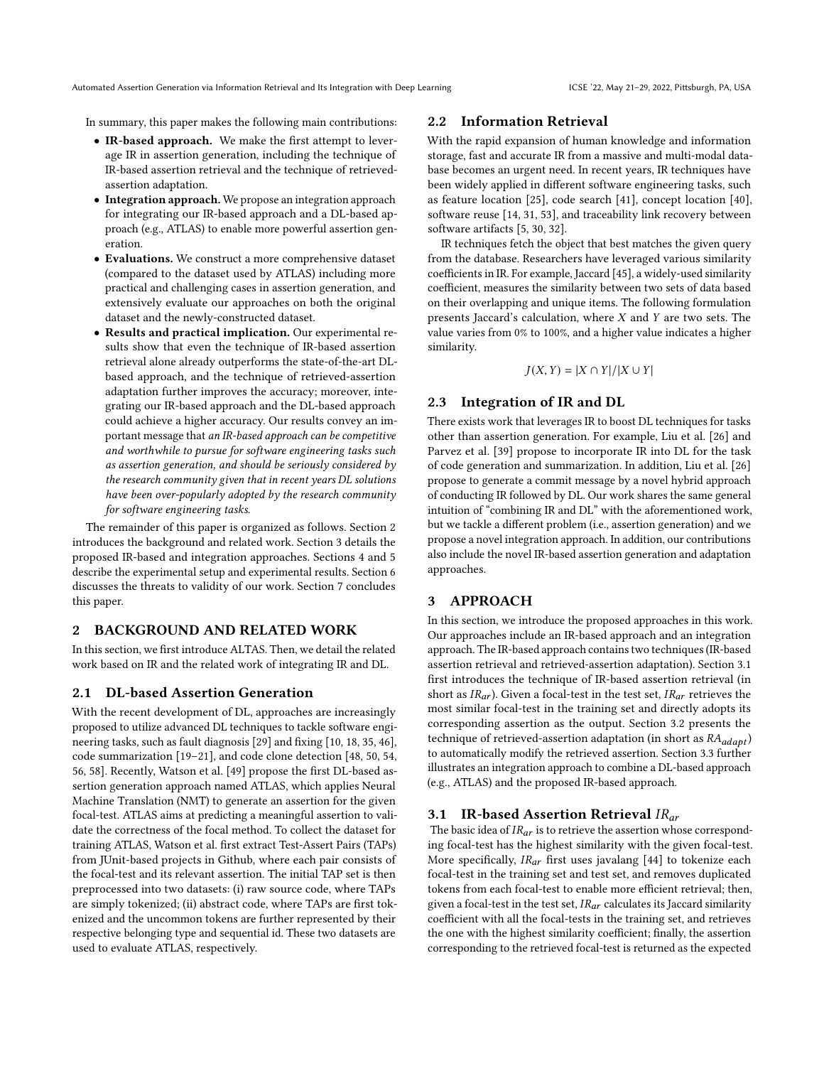In summary, this paper makes the following main contributions:

- IR-based approach. We make the first attempt to leverage IR in assertion generation, including the technique of IR-based assertion retrieval and the technique of retrievedassertion adaptation.
- Integration approach. We propose an integration approach for integrating our IR-based approach and a DL-based approach (e.g., ATLAS) to enable more powerful assertion generation.
- Evaluations. We construct a more comprehensive dataset (compared to the dataset used by ATLAS) including more practical and challenging cases in assertion generation, and extensively evaluate our approaches on both the original dataset and the newly-constructed dataset.
- Results and practical implication. Our experimental results show that even the technique of IR-based assertion retrieval alone already outperforms the state-of-the-art DLbased approach, and the technique of retrieved-assertion adaptation further improves the accuracy; moreover, integrating our IR-based approach and the DL-based approach could achieve a higher accuracy. Our results convey an important message that an IR-based approach can be competitive and worthwhile to pursue for software engineering tasks such as assertion generation, and should be seriously considered by the research community given that in recent years DL solutions have been over-popularly adopted by the research community for software engineering tasks.

The remainder of this paper is organized as follows. Section [2](#page-2-0) introduces the background and related work. Section [3](#page-2-1) details the proposed IR-based and integration approaches. Sections [4](#page-5-0) and [5](#page-6-0) describe the experimental setup and experimental results. Section [6](#page-9-0) discusses the threats to validity of our work. Section [7](#page-10-11) concludes this paper.

# <span id="page-2-0"></span>2 BACKGROUND AND RELATED WORK

In this section, we first introduce ALTAS. Then, we detail the related work based on IR and the related work of integrating IR and DL.

### 2.1 DL-based Assertion Generation

With the recent development of DL, approaches are increasingly proposed to utilize advanced DL techniques to tackle software engineering tasks, such as fault diagnosis [\[29\]](#page-10-12) and fixing [\[10,](#page-10-13) [18,](#page-10-14) [35,](#page-11-9) [46\]](#page-11-10), code summarization [\[19](#page-10-15)[–21\]](#page-10-16), and code clone detection [\[48,](#page-11-11) [50,](#page-11-12) [54,](#page-11-13) [56,](#page-11-14) [58\]](#page-11-15). Recently, Watson et al. [\[49\]](#page-11-5) propose the first DL-based assertion generation approach named ATLAS, which applies Neural Machine Translation (NMT) to generate an assertion for the given focal-test. ATLAS aims at predicting a meaningful assertion to validate the correctness of the focal method. To collect the dataset for training ATLAS, Watson et al. first extract Test-Assert Pairs (TAPs) from JUnit-based projects in Github, where each pair consists of the focal-test and its relevant assertion. The initial TAP set is then preprocessed into two datasets: (i) raw source code, where TAPs are simply tokenized; (ii) abstract code, where TAPs are first tokenized and the uncommon tokens are further represented by their respective belonging type and sequential id. These two datasets are used to evaluate ATLAS, respectively.

## 2.2 Information Retrieval

With the rapid expansion of human knowledge and information storage, fast and accurate IR from a massive and multi-modal database becomes an urgent need. In recent years, IR techniques have been widely applied in different software engineering tasks, such as feature location [\[25\]](#page-10-17), code search [\[41\]](#page-11-16), concept location [\[40\]](#page-11-17), software reuse [\[14,](#page-10-18) [31,](#page-10-19) [53\]](#page-11-18), and traceability link recovery between software artifacts [\[5,](#page-10-20) [30,](#page-10-21) [32\]](#page-10-22).

IR techniques fetch the object that best matches the given query from the database. Researchers have leveraged various similarity coefficients in IR. For example, Jaccard [\[45\]](#page-11-19), a widely-used similarity coefficient, measures the similarity between two sets of data based on their overlapping and unique items. The following formulation presents Jaccard's calculation, where  $X$  and  $Y$  are two sets. The value varies from 0% to 100%, and a higher value indicates a higher similarity.

$$
J(X, Y) = |X \cap Y| / |X \cup Y|
$$

#### 2.3 Integration of IR and DL

There exists work that leverages IR to boost DL techniques for tasks other than assertion generation. For example, Liu et al. [\[26\]](#page-10-23) and Parvez et al. [\[39\]](#page-11-20) propose to incorporate IR into DL for the task of code generation and summarization. In addition, Liu et al. [\[26\]](#page-10-23) propose to generate a commit message by a novel hybrid approach of conducting IR followed by DL. Our work shares the same general intuition of "combining IR and DL" with the aforementioned work, but we tackle a different problem (i.e., assertion generation) and we propose a novel integration approach. In addition, our contributions also include the novel IR-based assertion generation and adaptation approaches.

# <span id="page-2-1"></span>3 APPROACH

In this section, we introduce the proposed approaches in this work. Our approaches include an IR-based approach and an integration approach. The IR-based approach contains two techniques (IR-based assertion retrieval and retrieved-assertion adaptation). Section [3.1](#page-2-2) first introduces the technique of IR-based assertion retrieval (in short as  $IR_{ar}$ ). Given a focal-test in the test set,  $IR_{ar}$  retrieves the most similar focal-test in the training set and directly adopts its corresponding assertion as the output. Section [3.2](#page-3-0) presents the technique of retrieved-assertion adaptation (in short as  $RA_{adapt}$ ) to automatically modify the retrieved assertion. Section [3.3](#page-5-1) further illustrates an integration approach to combine a DL-based approach (e.g., ATLAS) and the proposed IR-based approach.

#### <span id="page-2-2"></span>3.1 IR-based Assertion Retrieval  $IR_{ar}$

The basic idea of  $IR_{ar}$  is to retrieve the assertion whose corresponding focal-test has the highest similarity with the given focal-test. More specifically,  $IR_{ar}$  first uses javalang [\[44\]](#page-11-21) to tokenize each focal-test in the training set and test set, and removes duplicated tokens from each focal-test to enable more efficient retrieval; then, given a focal-test in the test set,  $IR_{ar}$  calculates its Jaccard similarity coefficient with all the focal-tests in the training set, and retrieves the one with the highest similarity coefficient; finally, the assertion corresponding to the retrieved focal-test is returned as the expected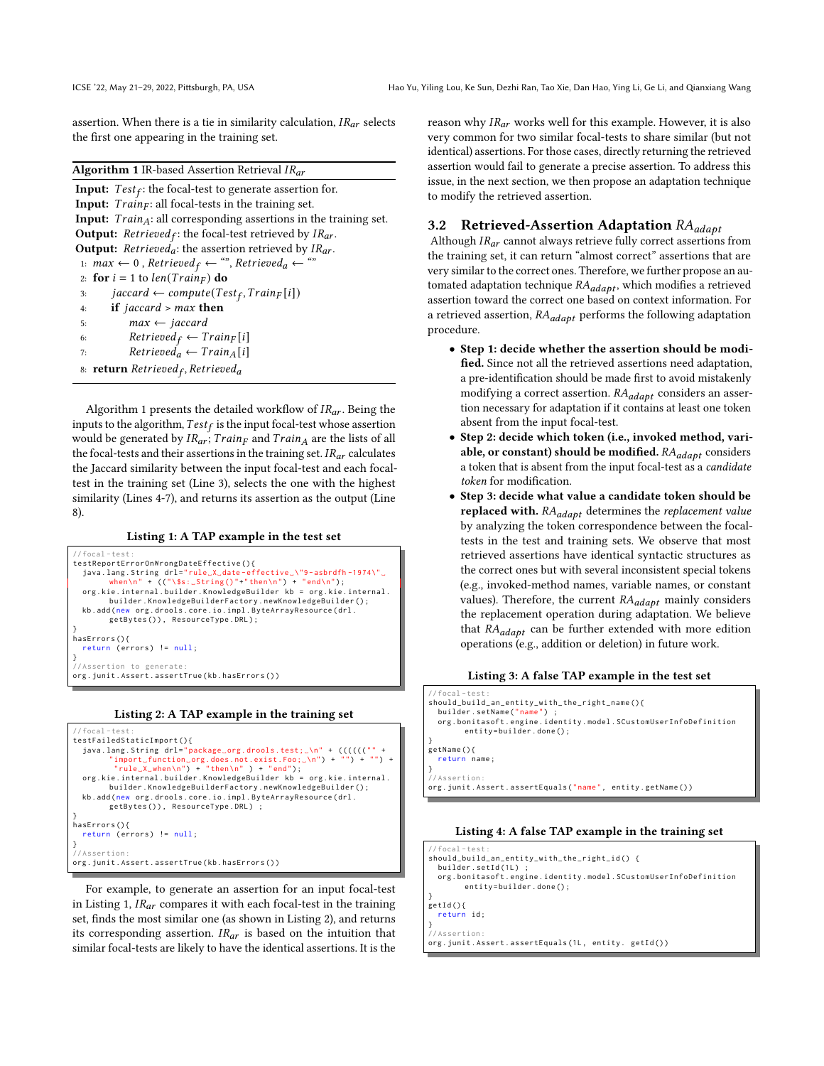assertion. When there is a tie in similarity calculation,  $IR_{ar}$  selects the first one appearing in the training set.

#### <span id="page-3-1"></span>Algorithm 1 IR-based Assertion Retrieval  $IR_{ar}$

**Input:**  $Test_f$ : the focal-test to generate assertion for. Input:  $Train_F$ : all focal-tests in the training set. Input:  $Train_A$ : all corresponding assertions in the training set. **Output:**  $Retrieved_f$ : the focal-test retrieved by  $IR_{ar}$ . **Output:** *Retrieved<sub>a</sub>*: the assertion retrieved by  $IR_{ar}$ . 1:  $max \leftarrow 0$ ,  $Retrieved_f \leftarrow$  "",  $Retrieved_a \leftarrow$  " 2: for  $i = 1$  to  $len(Train_F)$  do 3:  $jaccard \leftarrow compute(Test_f, Train_F[i])$ 4: if *jaccard* >  $max$  then 5:  $max \leftarrow jaccard$ 6:  $Retried_f \leftarrow Train_F[i]$ 7:  $Retrieved_a \leftarrow Train_A[i]$ 8: **return** Retrieved<sub>f</sub>, Retrieved<sub>a</sub>

Algorithm [1](#page-3-1) presents the detailed workflow of  $IR_{ar}$ . Being the inputs to the algorithm,  $Test_f$  is the input focal-test whose assertion would be generated by  $IR_{ar}$ ;  $Train_F$  and  $Train_A$  are the lists of all the focal-tests and their assertions in the training set.  $IR_{ar}$  calculates the Jaccard similarity between the input focal-test and each focaltest in the training set (Line 3), selects the one with the highest similarity (Lines 4-7), and returns its assertion as the output (Line 8).

#### Listing 1: A TAP example in the test set

<span id="page-3-2"></span>



<span id="page-3-3"></span>

For example, to generate an assertion for an input focal-test in Listing [1,](#page-3-2)  $IR_{ar}$  compares it with each focal-test in the training set, finds the most similar one (as shown in Listing [2\)](#page-3-3), and returns its corresponding assertion.  $IR_{ar}$  is based on the intuition that similar focal-tests are likely to have the identical assertions. It is the reason why  $IR_{ar}$  works well for this example. However, it is also very common for two similar focal-tests to share similar (but not identical) assertions. For those cases, directly returning the retrieved assertion would fail to generate a precise assertion. To address this issue, in the next section, we then propose an adaptation technique to modify the retrieved assertion.

#### <span id="page-3-0"></span>3.2 Retrieved-Assertion Adaptation  $RA_{adapt}$

Although  $IR_{ar}$  cannot always retrieve fully correct assertions from the training set, it can return "almost correct" assertions that are very similar to the correct ones. Therefore, we further propose an automated adaptation technique  $RA_{adapt}$ , which modifies a retrieved assertion toward the correct one based on context information. For a retrieved assertion,  $RA_{adapt}$  performs the following adaptation procedure.

- Step 1: decide whether the assertion should be modified. Since not all the retrieved assertions need adaptation, a pre-identification should be made first to avoid mistakenly modifying a correct assertion.  $RA_{adapt}$  considers an assertion necessary for adaptation if it contains at least one token absent from the input focal-test.
- Step 2: decide which token (i.e., invoked method, variable, or constant) should be modified.  $RA_{adapt}$  considers a token that is absent from the input focal-test as a *candidate* token for modification.
- Step 3: decide what value a candidate token should be replaced with.  $RA_{adapt}$  determines the replacement value by analyzing the token correspondence between the focaltests in the test and training sets. We observe that most retrieved assertions have identical syntactic structures as the correct ones but with several inconsistent special tokens (e.g., invoked-method names, variable names, or constant values). Therefore, the current  $RA_{adapt}$  mainly considers the replacement operation during adaptation. We believe that  $RA_{adapt}$  can be further extended with more edition operations (e.g., addition or deletion) in future work.

#### Listing 3: A false TAP example in the test set

<span id="page-3-4"></span>

| $// focal-test:$                                               |
|----------------------------------------------------------------|
| should_build_an_entity_with_the_right_name(){                  |
| builder.setName("name") ;                                      |
| org.bonitasoft.engine.identity.model.SCustomUserInfoDefinition |
| $entity=builder.done()$ ;                                      |
|                                                                |
| getName(){                                                     |
| return name;                                                   |
|                                                                |
| //Assertion:                                                   |
| org.junit.Assert.assertEquals("name", entity.getName())        |

#### Listing 4: A false TAP example in the training set

```
// focal - test :
should_build_an_entity_with_the_right_id () {
  builder.setId(1L) ;
  org . bonitasoft . engine . identity . model . SCustomUserInfoDefinition
        entity=builder.done();
}
getId () {
  return id ;
}
// Assertion :
org.junit.Assert.assertEquals(1L, entity. getId())
```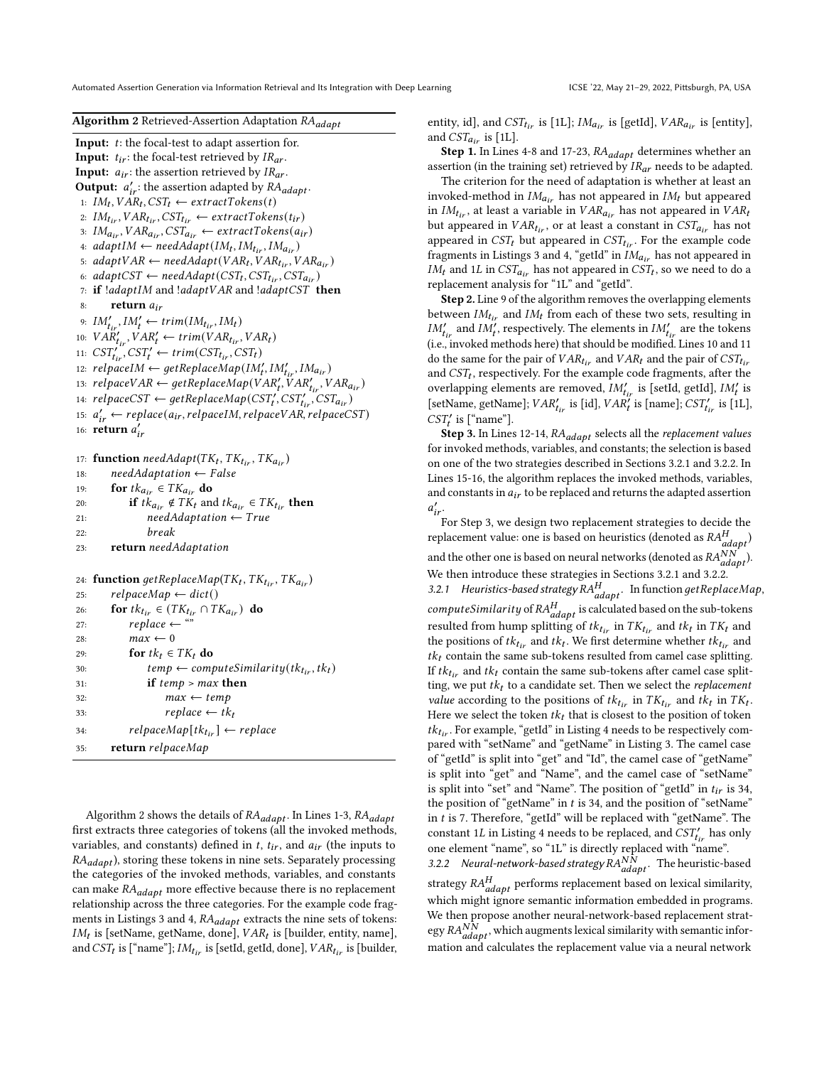### <span id="page-4-0"></span>Algorithm 2 Retrieved-Assertion Adaptation RA<sub>adapt</sub>

**Input:**  $t$ : the focal-test to adapt assertion for. **Input:**  $t_{ir}$ : the focal-test retrieved by  $IR_{ar}$ . **Input:**  $a_{ir}$ : the assertion retrieved by  $IR_{ar}$ . **Output:**  $a'_{ir}$ : the assertion adapted by  $RA_{adapt}$ . 1:  $IM_t, VAR_t, SST_t \leftarrow extractToken(t)$ 2:  $IM_{tir}$ ,  $VAR_{tir}$ ,  $CST_{tir} \leftarrow extractToken(tir)$ 3:  $IM_{air}$ ,  $VAR_{air}$ ,  $CST_{air} \leftarrow extractToken(air)$ 4:  $adaptIM \leftarrow needAdapt(IM_t, IM_{tir}, IM_{air})$ 5:  $adaptVAR \leftarrow needAdapt(VAR_t, VAR_{tir}, VAR_{air})$ 6: adaptCST  $\leftarrow \textit{needAdapt}(\textit{CST}_t, \textit{CST}_{t_{ir}}, \textit{CST}_{a_{ir}})$ 7: if  $!adaptIM$  and  $!adaptVAR$  and  $!adaptCST$  then 8: return  $a_{ir}$ 9:  $IM'_{tir}$ ,  $IM'_{t} \leftarrow trim(IM_{tir}, IM_{t})$ 10:  $VAR'_{tir}$ ,  $VAR'_{t} \leftarrow trim(VAR_{tir}, VAR_t)$ 11:  $\text{CST}_{tir}^{\prime\prime}$ ,  $\text{CST}_{t}^{\prime} \leftarrow \text{trim}(\text{CST}_{tir}, \text{CST}_{t})$ 12:  $relpace M \leftarrow getReplaceMap(M'_{t}, IM'_{tir}, IM_{air})$ 13:  $relpaceVAR \leftarrow getReplaceMap(VAR'_t, VAR'_{tir}, VAR_{air})$ 14:  $relpaceST \leftarrow getReplaceMap(CST'_{t}, CST'_{tir}, CST_{air})$ 15:  $a'_{ir} \leftarrow replace(a_{ir}, relpaceIM, relpaceVAR, relpaceCST)$ 16: **return**  $a'_{ir}$ 

17: **function** needAdapt( $TK_t, TK_{tir}, TK_{air}$ ) 18:  $needAdaptation \leftarrow False$ 19: **for**  $tk_{a_{ir}} \in TK_{a_{ir}}$  do 20: **if**  $tk_{a_{ir}} \notin TK_t$  and  $tk_{a_{ir}} \in TK_{t_{ir}}$  then 21:  $needAdaptation \leftarrow True$ 22: 23: return needAdaptation

```
24: function getReplaceMap(TK_t, TK_{tir}, TK_{air})25: relpaceMap \leftarrow dict()26: for tk_{t_{ir}} \in (TK_{t_{ir}} \cap TK_{a_{ir}}) do
27: replace \leftarrow28: max \leftarrow 029: for tk_t \in TK_t do
30: temp \leftarrow computeSimilarity(tk_{tir}, tk_t)31: if temp > max then
32: max \leftarrow temp33: replace \leftarrow tk_t34: relpaceMap[tk_{tir}] \leftarrow replace35: return relpaceMap
```
Algorithm [2](#page-4-0) shows the details of  $RA_{adapt}$ . In Lines 1-3,  $RA_{adapt}$ first extracts three categories of tokens (all the invoked methods, variables, and constants) defined in  $t$ ,  $t_{ir}$ , and  $a_{ir}$  (the inputs to  $RA_{adapt}$ ), storing these tokens in nine sets. Separately processing the categories of the invoked methods, variables, and constants can make  $RA_{adapt}$  more effective because there is no replacement relationship across the three categories. For the example code frag-ments in Listings [3](#page-3-4) and [4,](#page-3-5)  $RA_{adapt}$  extracts the nine sets of tokens:  $IM_t$  is [setName, getName, done],  $VAR_t$  is [builder, entity, name], and  $CST_t$  is ["name"];  $IM_{tir}$  is [setId, getId, done],  $VAR_{tir}$  is [builder, entity, id], and  $CST_{tir}$  is [1L];  $IM_{air}$  is [getId],  $VAR_{air}$  is [entity], and  $CST_{air}$  is [1L].

**Step 1.** In Lines 4-8 and 17-23,  $RA_{adapt}$  determines whether an assertion (in the training set) retrieved by  $IR_{ar}$  needs to be adapted.

The criterion for the need of adaptation is whether at least an invoked-method in  $IM_{air}$  has not appeared in  $IM_t$  but appeared in  $IM_{tir}$ , at least a variable in  $VAR_{tir}$  has not appeared in  $VAR_t$ but appeared in  $VAR_{tir}$ , or at least a constant in  $CST_{air}$  has not appeared in  $CST_t$  but appeared in  $CST_{tir}$ . For the example code fragments in Listings [3](#page-3-4) and [4,](#page-3-5) "getId" in  $IM_{a_{ir}}$  has not appeared in  $IM_t$  and 1L in  $CST_{a_{ir}}$  has not appeared in  $CST_t$ , so we need to do a replacement analysis for "1L" and "getId".

Step 2. Line 9 of the algorithm removes the overlapping elements between  $IM_{tir}$  and  $IM_t$  from each of these two sets, resulting in  $IM'_{tir}$  and  $IM'_{t}$ , respectively. The elements in  $IM'_{tir}$  are the tokens (i.e., invoked methods here) that should be modified. Lines 10 and 11 do the same for the pair of  $VAR_{tir}$  and  $VAR_t$  and the pair of  $CSI_{tir}$ and  $CST_t$ , respectively. For the example code fragments, after the overlapping elements are removed,  $IM'_{tir}$  is [setId, getId],  $IM'_{t}$  is [setName, getName];  $VAR'_{tir}$  is [id],  $VAR'_{t}$  is [name];  $CST'_{tir}$  is [1L],  $CST'_t$  is ["name"].

**Step 3.** In Lines 12-14,  $RA_{adapt}$  selects all the *replacement values* for invoked methods, variables, and constants; the selection is based on one of the two strategies described in Sections [3.2.1](#page-4-1) and [3.2.2.](#page-4-2) In Lines 15-16, the algorithm replaces the invoked methods, variables, and constants in  $a_{ir}$  to be replaced and returns the adapted assertion  $a'_{ir}$ .

<span id="page-4-1"></span>For Step 3, we design two replacement strategies to decide the replacement value: one is based on heuristics (denoted as  $RA_{adapt}^H$ ) and the other one is based on neural networks (denoted as  $\frac{RAN}{adapt}$ ). We then introduce these strategies in Sections [3.2.1](#page-4-1) and [3.2.2.](#page-4-2) 3.2.1 Heuristics-based strategy  $RA_{adapt}^H$ . In function get ReplaceMap, computeSimilarity of  $RA_{adapt}^H$  is calculated based on the sub-tokens resulted from hump splitting of  $tk_{tir}$  in  $TK_{tir}$  and  $tk_t$  in  $TK_t$  and the positions of  $tk_{tir}$  and  $tk_t$ . We first determine whether  $tk_{tir}$  and  $tk<sub>t</sub>$  contain the same sub-tokens resulted from camel case splitting. If  $tk_{tir}$  and  $tk_t$  contain the same sub-tokens after camel case splitting, we put  $tk<sub>t</sub>$  to a candidate set. Then we select the *replacement value* according to the positions of  $tk_{tir}$  in  $TK_{tir}$  and  $tk_t$  in  $TK_t$ . Here we select the token  $tk_t$  that is closest to the position of token  $tk_{tir}$ . For example, "getId" in Listing [4](#page-3-5) needs to be respectively compared with "setName" and "getName" in Listing [3.](#page-3-4) The camel case of "getId" is split into "get" and "Id", the camel case of "getName" is split into "get" and "Name", and the camel case of "setName" is split into "set" and "Name". The position of "getId" in  $t_{ir}$  is 34, the position of "getName" in  $t$  is 34, and the position of "setName" in  $t$  is 7. Therefore, "getId" will be replaced with "getName". The constant 1L in Listing [4](#page-3-5) needs to be replaced, and  $\overline{CST}^{\prime}_{tir}$  has only one element "name", so "1L" is directly replaced with "name". 3.2.2 Neural-network-based strategy  $\overrightarrow{RA}_{adapt}^{NN}$ . The heuristic-based strategy  $RA_{adapt}^H$  performs replacement based on lexical similarity,

<span id="page-4-2"></span>which might ignore semantic information embedded in programs. We then propose another neural-network-based replacement strategy  $RA_{adapt}^{N\hat{N}}$ , which augments lexical similarity with semantic information and calculates the replacement value via a neural network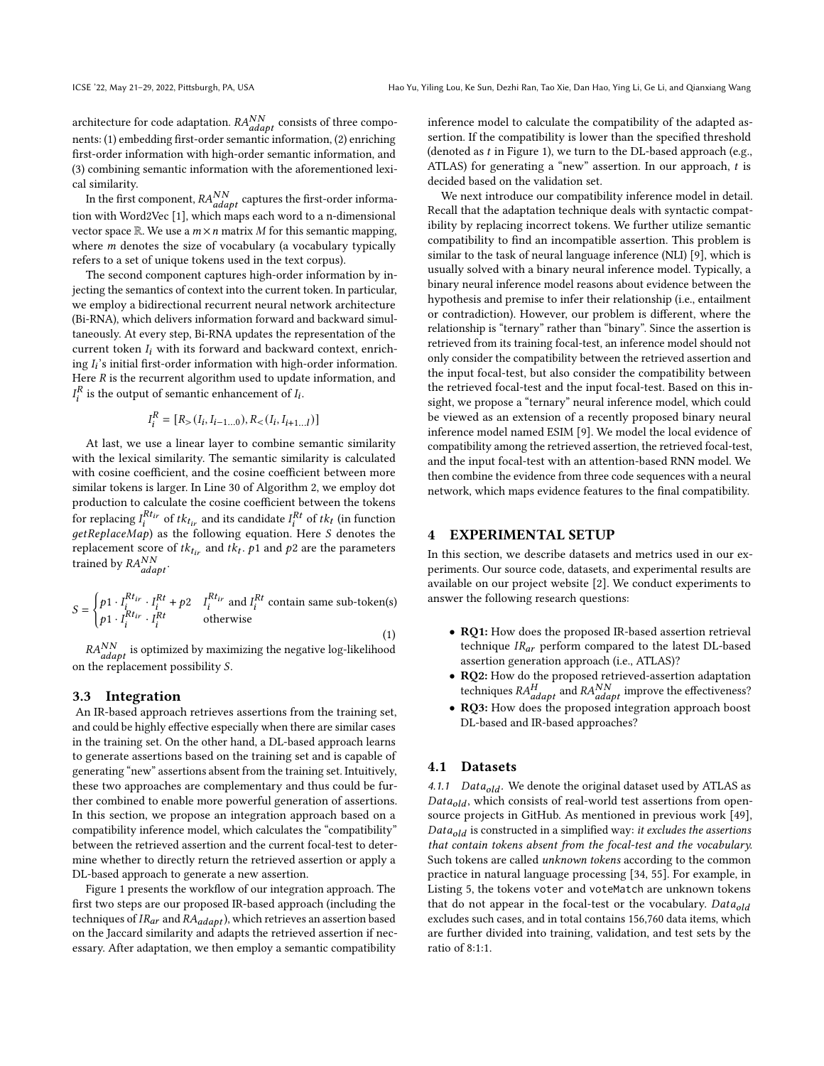architecture for code adaptation.  $RA_{adapt}^{NN}$  consists of three components: (1) embedding first-order semantic information, (2) enriching first-order information with high-order semantic information, and (3) combining semantic information with the aforementioned lexical similarity.

In the first component,  $RA_{adapt}^{NN}$  captures the first-order information with Word2Vec [\[1\]](#page-10-24), which maps each word to a n-dimensional vector space  $\mathbb R$ . We use a  $m \times n$  matrix M for this semantic mapping, where  $m$  denotes the size of vocabulary (a vocabulary typically refers to a set of unique tokens used in the text corpus).

The second component captures high-order information by injecting the semantics of context into the current token. In particular, we employ a bidirectional recurrent neural network architecture (Bi-RNA), which delivers information forward and backward simultaneously. At every step, Bi-RNA updates the representation of the current token  $I_i$  with its forward and backward context, enriching  $I_i$ 's initial first-order information with high-order information. Here  $R$  is the recurrent algorithm used to update information, and  $I_i^R$  is the output of semantic enhancement of  $I_i$ .

$$
I_i^R = [R_>(I_i, I_{i-1...0}), R_<(I_i, I_{i+1...l})]
$$

At last, we use a linear layer to combine semantic similarity with the lexical similarity. The semantic similarity is calculated with cosine coefficient, and the cosine coefficient between more similar tokens is larger. In Line 30 of Algorithm [2,](#page-4-0) we employ dot production to calculate the cosine coefficient between the tokens for replacing  $I_i^{Rt_{ir}}$  of  $tk_{t_{ir}}$  and its candidate  $I_i^{Rt}$  of  $tk_t$  (in function  $getReplaceMap)$  as the following equation. Here *S* denotes the replacement score of  $tk_{tir}$  and  $tk_t$ .  $p1$  and  $p2$  are the parameters trained by  $RA_{adapt}^{NN}$ .

$$
S = \begin{cases} p1 \cdot I_i^{Rt_{ir}} \cdot I_i^{Rt} + p2 & I_i^{Rt_{ir}} \text{ and } I_i^{Rt} \text{ contain same sub-token(s)}\\ p1 \cdot I_i^{Rt_{ir}} \cdot I_i^{Rt} & \text{otherwise} \end{cases}
$$
(1)

 $RA_{adapt}^{NN}$  is optimized by maximizing the negative log-likelihood on the replacement possibility S.

#### <span id="page-5-1"></span>3.3 Integration

An IR-based approach retrieves assertions from the training set, and could be highly effective especially when there are similar cases in the training set. On the other hand, a DL-based approach learns to generate assertions based on the training set and is capable of generating "new" assertions absent from the training set. Intuitively, these two approaches are complementary and thus could be further combined to enable more powerful generation of assertions. In this section, we propose an integration approach based on a compatibility inference model, which calculates the "compatibility" between the retrieved assertion and the current focal-test to determine whether to directly return the retrieved assertion or apply a DL-based approach to generate a new assertion.

Figure [1](#page-6-1) presents the workflow of our integration approach. The first two steps are our proposed IR-based approach (including the techniques of  $IR_{ar}$  and  $RA_{adapt}$ ), which retrieves an assertion based on the Jaccard similarity and adapts the retrieved assertion if necessary. After adaptation, we then employ a semantic compatibility inference model to calculate the compatibility of the adapted assertion. If the compatibility is lower than the specified threshold (denoted as  $t$  in Figure [1\)](#page-6-1), we turn to the DL-based approach (e.g., ATLAS) for generating a "new" assertion. In our approach, t is decided based on the validation set.

We next introduce our compatibility inference model in detail. Recall that the adaptation technique deals with syntactic compatibility by replacing incorrect tokens. We further utilize semantic compatibility to find an incompatible assertion. This problem is similar to the task of neural language inference (NLI) [\[9\]](#page-10-25), which is usually solved with a binary neural inference model. Typically, a binary neural inference model reasons about evidence between the hypothesis and premise to infer their relationship (i.e., entailment or contradiction). However, our problem is different, where the relationship is "ternary" rather than "binary". Since the assertion is retrieved from its training focal-test, an inference model should not only consider the compatibility between the retrieved assertion and the input focal-test, but also consider the compatibility between the retrieved focal-test and the input focal-test. Based on this insight, we propose a "ternary" neural inference model, which could be viewed as an extension of a recently proposed binary neural inference model named ESIM [\[9\]](#page-10-25). We model the local evidence of compatibility among the retrieved assertion, the retrieved focal-test, and the input focal-test with an attention-based RNN model. We then combine the evidence from three code sequences with a neural network, which maps evidence features to the final compatibility.

#### <span id="page-5-0"></span>4 EXPERIMENTAL SETUP

In this section, we describe datasets and metrics used in our experiments. Our source code, datasets, and experimental results are available on our project website [\[2\]](#page-10-26). We conduct experiments to answer the following research questions:

- RQ1: How does the proposed IR-based assertion retrieval technique  $IR_{ar}$  perform compared to the latest DL-based assertion generation approach (i.e., ATLAS)?
- RQ2: How do the proposed retrieved-assertion adaptation techniques  $RA_{adapt}^H$  and  $RA_{adapt}^{NN}$  improve the effectiveness?
- RQ3: How does the proposed integration approach boost DL-based and IR-based approaches?

#### 4.1 Datasets

4.1.1 *Data<sub>old</sub>*. We denote the original dataset used by ATLAS as  $Data_{old}$ , which consists of real-world test assertions from opensource projects in GitHub. As mentioned in previous work [\[49\]](#page-11-5),  $Data_{old}$  is constructed in a simplified way: it excludes the assertions that contain tokens absent from the focal-test and the vocabulary. Such tokens are called unknown tokens according to the common practice in natural language processing [\[34,](#page-10-27) [55\]](#page-11-22). For example, in Listing [5,](#page-6-2) the tokens voter and voteMatch are unknown tokens that do not appear in the focal-test or the vocabulary.  $Data_{old}$ excludes such cases, and in total contains 156,760 data items, which are further divided into training, validation, and test sets by the ratio of 8:1:1.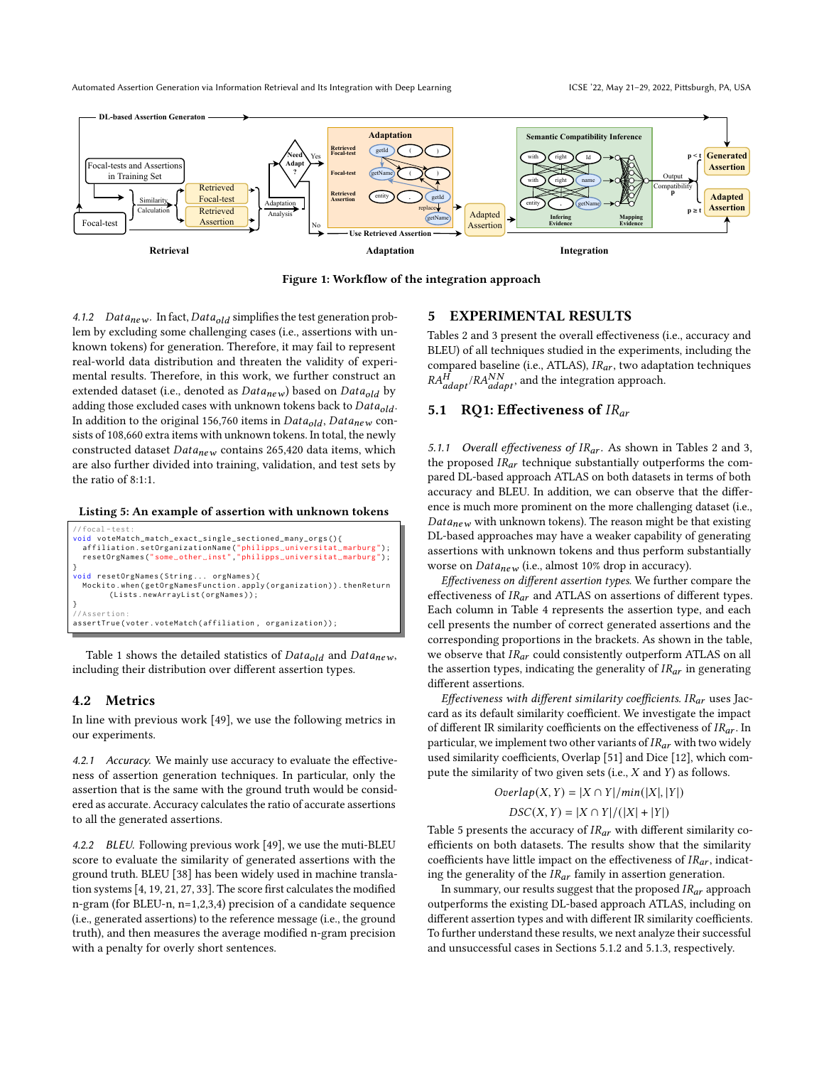<span id="page-6-1"></span>

Figure 1: Workflow of the integration approach

4.1.2  $Data_{new}$ . In fact,  $Data_{old}$  simplifies the test generation problem by excluding some challenging cases (i.e., assertions with unknown tokens) for generation. Therefore, it may fail to represent real-world data distribution and threaten the validity of experimental results. Therefore, in this work, we further construct an extended dataset (i.e., denoted as  $Data_{new}$ ) based on  $Data_{old}$  by adding those excluded cases with unknown tokens back to  $Data_{old}$ . In addition to the original 156,760 items in  $Data_{old}$ ,  $Data_{new}$  consists of 108,660 extra items with unknown tokens. In total, the newly constructed dataset  $Data_{new}$  contains 265,420 data items, which are also further divided into training, validation, and test sets by the ratio of 8:1:1.

<span id="page-6-2"></span>Listing 5: An example of assertion with unknown tokens

| $// focal-test:$                                                 |
|------------------------------------------------------------------|
| void voteMatch_match_exact_single_sectioned_many_orgs(){         |
| affiliation.setOrganizationName("philipps_universitat_marburg"); |
| resetOrgNames("some_other_inst","philipps_universitat_marburg"); |
|                                                                  |
| void resetOrgNames(String orgNames){                             |
| Mockito.when(getOrgNamesFunction.apply(organization)).thenReturn |
| (Lists.newArrayList(orgNames));                                  |
|                                                                  |
| //Assertion:                                                     |
| assertTrue(voter.voteMatch(affiliation, organization));          |
|                                                                  |

Table [1](#page-7-0) shows the detailed statistics of  $Data_{old}$  and  $Data_{new}$ , including their distribution over different assertion types.

#### 4.2 Metrics

In line with previous work [\[49\]](#page-11-5), we use the following metrics in our experiments.

4.2.1 Accuracy. We mainly use accuracy to evaluate the effectiveness of assertion generation techniques. In particular, only the assertion that is the same with the ground truth would be considered as accurate. Accuracy calculates the ratio of accurate assertions to all the generated assertions.

4.2.2 BLEU. Following previous work [\[49\]](#page-11-5), we use the muti-BLEU score to evaluate the similarity of generated assertions with the ground truth. BLEU [\[38\]](#page-11-23) has been widely used in machine translation systems [\[4,](#page-10-28) [19,](#page-10-15) [21,](#page-10-16) [27,](#page-10-29) [33\]](#page-10-30). The score first calculates the modified n-gram (for BLEU-n, n=1,2,3,4) precision of a candidate sequence (i.e., generated assertions) to the reference message (i.e., the ground truth), and then measures the average modified n-gram precision with a penalty for overly short sentences.

#### <span id="page-6-0"></span>5 EXPERIMENTAL RESULTS

Tables [2](#page-7-1) and [3](#page-7-2) present the overall effectiveness (i.e., accuracy and BLEU) of all techniques studied in the experiments, including the compared baseline (i.e., ATLAS),  $IR_{ar}$ , two adaptation techniques  $RA^H$  $\frac{H}{\mu_{adapt}}$  and the integration approach.

# 5.1 RQ1: Effectiveness of  $IR_{ar}$

5.1.1 Overall effectiveness of  $IR_{ar}$ . As shown in Tables [2](#page-7-1) and [3,](#page-7-2) the proposed  $IR_{ar}$  technique substantially outperforms the compared DL-based approach ATLAS on both datasets in terms of both accuracy and BLEU. In addition, we can observe that the difference is much more prominent on the more challenging dataset (i.e.,  $Data_{new}$  with unknown tokens). The reason might be that existing DL-based approaches may have a weaker capability of generating assertions with unknown tokens and thus perform substantially worse on  $Data_{new}$  (i.e., almost 10% drop in accuracy).

Effectiveness on different assertion types. We further compare the effectiveness of  $IR_{ar}$  and ATLAS on assertions of different types. Each column in Table [4](#page-8-0) represents the assertion type, and each cell presents the number of correct generated assertions and the corresponding proportions in the brackets. As shown in the table, we observe that  $IR_{ar}$  could consistently outperform ATLAS on all the assertion types, indicating the generality of  $IR_{ar}$  in generating different assertions.

Effectiveness with different similarity coefficients.  $IR_{ar}$  uses Jaccard as its default similarity coefficient. We investigate the impact of different IR similarity coefficients on the effectiveness of  $IR_{ar}$ . In particular, we implement two other variants of  $IR_{ar}$  with two widely used similarity coefficients, Overlap [\[51\]](#page-11-24) and Dice [\[12\]](#page-10-31), which compute the similarity of two given sets (i.e.,  $X$  and  $Y$ ) as follows.

$$
Overlap(X, Y) = |X \cap Y|/min(|X|, |Y|)
$$

$$
DSC(X, Y) = |X \cap Y|/(|X| + |Y|)
$$

Table [5](#page-8-1) presents the accuracy of  $IR_{ar}$  with different similarity coefficients on both datasets. The results show that the similarity coefficients have little impact on the effectiveness of  $IR_{ar}$ , indicating the generality of the  $IR_{ar}$  family in assertion generation.

In summary, our results suggest that the proposed  $IR_{ar}$  approach outperforms the existing DL-based approach ATLAS, including on different assertion types and with different IR similarity coefficients. To further understand these results, we next analyze their successful and unsuccessful cases in Sections [5.1.2](#page-7-3) and [5.1.3,](#page-7-4) respectively.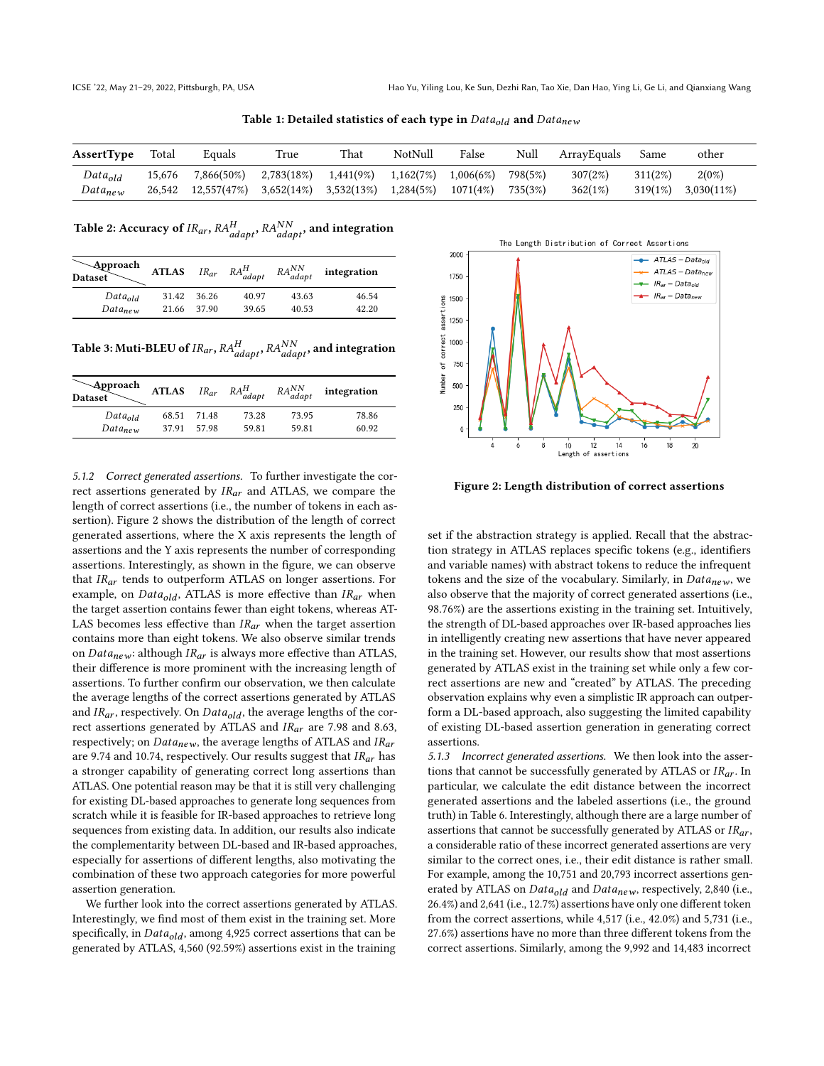Table 1: Detailed statistics of each type in  $Data_{old}$  and  $Data_{new}$ 

<span id="page-7-0"></span>

| <b>AssertType</b>            | Total            | Equals                    | True                                      | That      | NotNull                | False                 | Null               | ArrayEquals        | Same                  | other                     |  |
|------------------------------|------------------|---------------------------|-------------------------------------------|-----------|------------------------|-----------------------|--------------------|--------------------|-----------------------|---------------------------|--|
| $Data_{old}$<br>$Data_{new}$ | 15.676<br>26.542 | 7,866(50%)<br>12,557(47%) | 2,783(18%)<br>$3,652(14\%)$ $3,532(13\%)$ | 1,441(9%) | 1,162(7%)<br>1,284(5%) | 1,006(6%)<br>1071(4%) | 798(5%)<br>735(3%) | 307(2%)<br>362(1%) | 311(2%)<br>$319(1\%)$ | $2(0\%)$<br>$3,030(11\%)$ |  |

<span id="page-7-1"></span>Table 2: Accuracy of  $\textit{IR}_{ar}, \textit{RA}_{adapt}^H, \textit{RA}_{adapt}^{NN},$  and integration

| <b>√Approach</b><br><b>Dataset</b> | <b>ATLAS</b> | $IR_{ar}$ | $RA_{adapt}^H$ | $RA_{adapt}^{NN}$ | integration |
|------------------------------------|--------------|-----------|----------------|-------------------|-------------|
| $Data_{old}$                       | 31.42        | 36.26     | 40.97          | 43.63             | 46.54       |
| $Data_{new}$                       | 21.66        | 37.90     | 39.65          | 40.53             | 42.20       |

<span id="page-7-2"></span>Table 3: Muti-BLEU of  $\it IR_{ar}, \it RA_{adapt}^{H}, \it RA_{adapt}^{NN},$  and integration

| <b>Approach</b><br><b>Dataset</b> | <b>ATLAS</b> | $IR_{ar}$   | $RA_{adapt}^H$ | $RA_{adapt}^{NN}$ | integration |
|-----------------------------------|--------------|-------------|----------------|-------------------|-------------|
| $Data_{old}$                      | 68.51        | 71.48       | 73.28          | 73.95             | 78.86       |
| Data <sub>new</sub>               |              | 37.91 57.98 | 59 81          | 59.81             | 60.92       |

<span id="page-7-3"></span>5.1.2 Correct generated assertions. To further investigate the correct assertions generated by  $IR_{ar}$  and ATLAS, we compare the length of correct assertions (i.e., the number of tokens in each assertion). Figure [2](#page-7-5) shows the distribution of the length of correct generated assertions, where the X axis represents the length of assertions and the Y axis represents the number of corresponding assertions. Interestingly, as shown in the figure, we can observe that  $IR_{ar}$  tends to outperform ATLAS on longer assertions. For example, on  $Data_{old}$ , ATLAS is more effective than  $IR_{ar}$  when the target assertion contains fewer than eight tokens, whereas AT-LAS becomes less effective than  $IR_{ar}$  when the target assertion contains more than eight tokens. We also observe similar trends on  $Data_{new}$ : although  $IR_{ar}$  is always more effective than ATLAS, their difference is more prominent with the increasing length of assertions. To further confirm our observation, we then calculate the average lengths of the correct assertions generated by ATLAS and  $IR_{ar}$ , respectively. On  $Data_{old}$ , the average lengths of the correct assertions generated by ATLAS and  $IR_{ar}$  are 7.98 and 8.63, respectively; on  $Data_{new}$ , the average lengths of ATLAS and  $IR_{ar}$ are 9.74 and 10.74, respectively. Our results suggest that  $IR_{ar}$  has a stronger capability of generating correct long assertions than ATLAS. One potential reason may be that it is still very challenging for existing DL-based approaches to generate long sequences from scratch while it is feasible for IR-based approaches to retrieve long sequences from existing data. In addition, our results also indicate the complementarity between DL-based and IR-based approaches, especially for assertions of different lengths, also motivating the combination of these two approach categories for more powerful assertion generation.

We further look into the correct assertions generated by ATLAS. Interestingly, we find most of them exist in the training set. More specifically, in  $Data_{old}$ , among 4,925 correct assertions that can be generated by ATLAS, 4,560 (92.59%) assertions exist in the training

<span id="page-7-5"></span>

Figure 2: Length distribution of correct assertions

set if the abstraction strategy is applied. Recall that the abstraction strategy in ATLAS replaces specific tokens (e.g., identifiers and variable names) with abstract tokens to reduce the infrequent tokens and the size of the vocabulary. Similarly, in  $Data_{new}$ , we also observe that the majority of correct generated assertions (i.e., 98.76%) are the assertions existing in the training set. Intuitively, the strength of DL-based approaches over IR-based approaches lies in intelligently creating new assertions that have never appeared in the training set. However, our results show that most assertions generated by ATLAS exist in the training set while only a few correct assertions are new and "created" by ATLAS. The preceding observation explains why even a simplistic IR approach can outperform a DL-based approach, also suggesting the limited capability of existing DL-based assertion generation in generating correct assertions.

<span id="page-7-4"></span>5.1.3 Incorrect generated assertions. We then look into the assertions that cannot be successfully generated by ATLAS or  $IR_{ar}$ . In particular, we calculate the edit distance between the incorrect generated assertions and the labeled assertions (i.e., the ground truth) in Table [6.](#page-8-2) Interestingly, although there are a large number of assertions that cannot be successfully generated by ATLAS or  $IR_{ar}$ , a considerable ratio of these incorrect generated assertions are very similar to the correct ones, i.e., their edit distance is rather small. For example, among the 10,751 and 20,793 incorrect assertions generated by ATLAS on  $Data_{old}$  and  $Data_{new}$ , respectively, 2,840 (i.e., 26.4%) and 2,641 (i.e., 12.7%) assertions have only one different token from the correct assertions, while 4,517 (i.e., 42.0%) and 5,731 (i.e., 27.6%) assertions have no more than three different tokens from the correct assertions. Similarly, among the 9,992 and 14,483 incorrect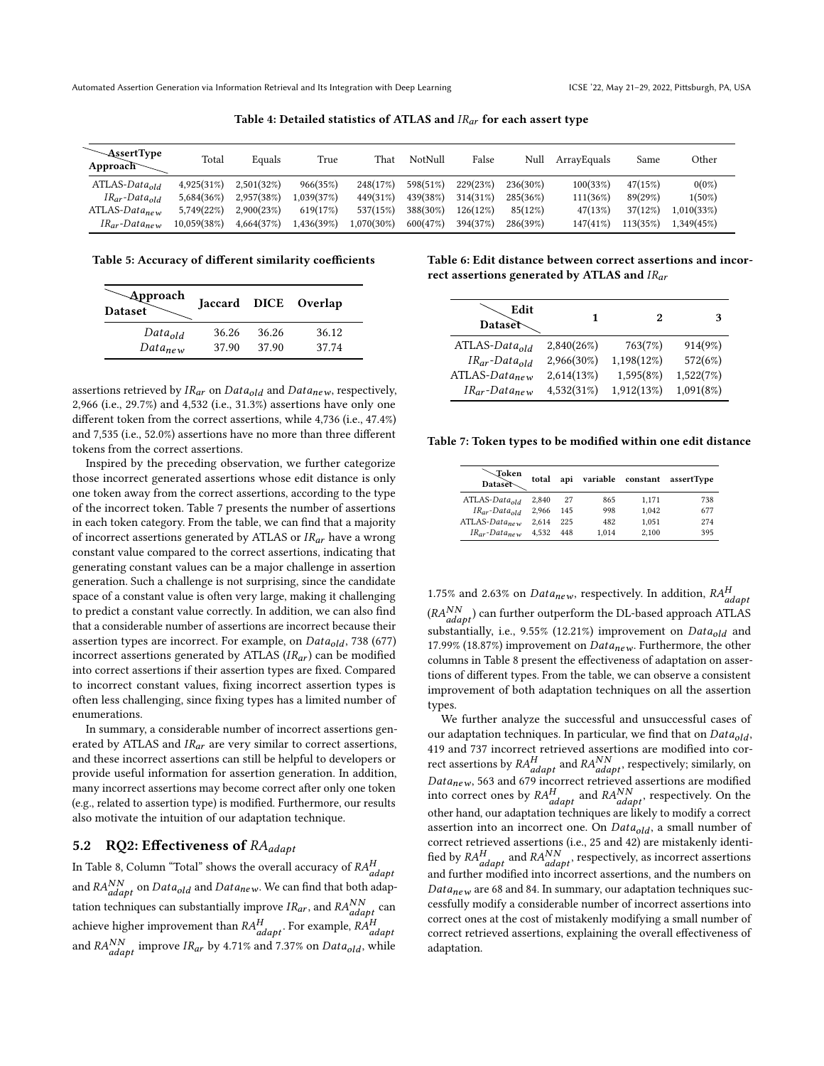<span id="page-8-0"></span>

| $\sim$ AssertType<br>Approach $\sim$ | Total       | Equals     | True       | That       | NotNull  | False    | Null     | ArravEquals | Same     | Other      |
|--------------------------------------|-------------|------------|------------|------------|----------|----------|----------|-------------|----------|------------|
| $ATLAS-Data_{old}$                   | 4.925(31%)  | 2.501(32%) | 966(35%)   | 248(17%)   | 598(51%) | 229(23%) | 236(30%) | 100(33%)    | 47(15%)  | $0(0\%)$   |
| $IR_{ar}$ -Data <sub>old</sub>       | 5.684(36%)  | 2.957(38%) | 1.039(37%) | 449(31%)   | 439(38%) | 314(31%) | 285(36%) | 111(36%)    | 89(29%)  | $1(50\%)$  |
| $ATLAS-Datanew$                      | 5.749(22%)  | 2.900(23%) | 619(17%)   | 537(15%)   | 388(30%) | 126(12%) | 85(12%)  | 47(13%)     | 37(12%)  | 1.010(33%) |
| $IR_{ar}$ -Data <sub>new</sub>       | 10.059(38%) | 4.664(37%) | .436(39%)  | 1.070(30%) | 600(47%) | 394(37%) | 286(39%) | 147(41%)    | 113(35%) | 1,349(45%) |

Table 4: Detailed statistics of ATLAS and  $IR_{ar}$  for each assert type

<span id="page-8-1"></span>Table 5: Accuracy of different similarity coefficients

| Approach<br><b>Dataset</b> |       |       | Jaccard DICE Overlap |
|----------------------------|-------|-------|----------------------|
| $Data_{old}$               | 36.26 | 36.26 | 36.12                |
| $Data_{new}$               | 37.90 | 37.90 | 37.74                |

assertions retrieved by  $IR_{ar}$  on  $Data_{old}$  and  $Data_{new}$ , respectively, 2,966 (i.e., 29.7%) and 4,532 (i.e., 31.3%) assertions have only one different token from the correct assertions, while 4,736 (i.e., 47.4%) and 7,535 (i.e., 52.0%) assertions have no more than three different tokens from the correct assertions.

Inspired by the preceding observation, we further categorize those incorrect generated assertions whose edit distance is only one token away from the correct assertions, according to the type of the incorrect token. Table [7](#page-8-3) presents the number of assertions in each token category. From the table, we can find that a majority of incorrect assertions generated by ATLAS or  $IR_{ar}$  have a wrong constant value compared to the correct assertions, indicating that generating constant values can be a major challenge in assertion generation. Such a challenge is not surprising, since the candidate space of a constant value is often very large, making it challenging to predict a constant value correctly. In addition, we can also find that a considerable number of assertions are incorrect because their assertion types are incorrect. For example, on  $Data_{old}$ , 738 (677) incorrect assertions generated by ATLAS  $(IR_{ar})$  can be modified into correct assertions if their assertion types are fixed. Compared to incorrect constant values, fixing incorrect assertion types is often less challenging, since fixing types has a limited number of enumerations.

In summary, a considerable number of incorrect assertions generated by ATLAS and  $IR_{ar}$  are very similar to correct assertions, and these incorrect assertions can still be helpful to developers or provide useful information for assertion generation. In addition, many incorrect assertions may become correct after only one token (e.g., related to assertion type) is modified. Furthermore, our results also motivate the intuition of our adaptation technique.

# 5.2 RQ2: Effectiveness of RA<sub>adapt</sub>

In Table [8,](#page-9-1) Column "Total" shows the overall accuracy of  $RA_{adapt}^H$ and  $RA_{adapt}^{NN}$  on  $Data_{old}$  and  $Data_{new}$ . We can find that both adaptation techniques can substantially improve  $IR_{ar}$ , and  $RA_{adapt}^{NN}$  can achieve higher improvement than  $RA_{adapt}^H$ . For example,  $RA_{adapt}^H$ and  $RA_{adapt}^{NN}$  improve  $IR_{ar}$  by 4.71% and 7.37% on  $Data_{old}$ , while

<span id="page-8-2"></span>Table 6: Edit distance between correct assertions and incorrect assertions generated by ATLAS and  $IR_{ar}$ 

| Edit<br>Dataset                |            | 2          | 3         |
|--------------------------------|------------|------------|-----------|
| $ATLAS-Data_{old}$             | 2,840(26%) | 763(7%)    | 914(9%)   |
| $IR_{ar}$ -Data <sub>old</sub> | 2,966(30%) | 1,198(12%) | 572(6%)   |
| $ATLAS-Datanew$                | 2,614(13%) | 1,595(8%)  | 1,522(7%) |
| $IR_{ar}$ -Data <sub>new</sub> | 4,532(31%) | 1,912(13%) | 1,091(8%) |

<span id="page-8-3"></span>Table 7: Token types to be modified within one edit distance

| <b>-Token</b><br>Dataset             | total | api | variable | constant | assertType |
|--------------------------------------|-------|-----|----------|----------|------------|
| $ATLAS-Data_{old}$                   | 2.840 | 27  | 865      | 1,171    | 738        |
| $IR_{ar}$ -Data <sub>old</sub>       | 2.966 | 145 | 998      | 1,042    | 677        |
| $ATLAS-Data_{new}$                   | 2.614 | 225 | 482      | 1.051    | 274        |
| $IR_{\alpha r}$ -Data <sub>new</sub> | 4.532 | 448 | 1.014    | 2.100    | 395        |

1.75% and 2.63% on  $Data_{new}$ , respectively. In addition,  $RA_{adapt}^H$  $(RA_{adapt}^{NN})$  can further outperform the DL-based approach ATLAS substantially, i.e., 9.55% (12.21%) improvement on  $Data_{old}$  and 17.99% (18.87%) improvement on  $Data_{new}$ . Furthermore, the other columns in Table [8](#page-9-1) present the effectiveness of adaptation on assertions of different types. From the table, we can observe a consistent improvement of both adaptation techniques on all the assertion types.

We further analyze the successful and unsuccessful cases of our adaptation techniques. In particular, we find that on  $Data_{old}$ , 419 and 737 incorrect retrieved assertions are modified into correct assertions by  $RA_{adapt}^H$  and  $RA_{adapt}^{NN}$ , respectively; similarly, on  $Data_{new}$ , 563 and 679 incorrect retrieved assertions are modified into correct ones by  $RA_{adapt}^H$  and  $RA_{adapt}^{NN}$ , respectively. On the other hand, our adaptation techniques are likely to modify a correct assertion into an incorrect one. On  $Data_{old}$ , a small number of correct retrieved assertions (i.e., 25 and 42) are mistakenly identified by  $RA_{adapt}^H$  and  $RA_{adapt}^{NN}$ , respectively, as incorrect assertions and further modified into incorrect assertions, and the numbers on  $Data_{new}$  are 68 and 84. In summary, our adaptation techniques successfully modify a considerable number of incorrect assertions into correct ones at the cost of mistakenly modifying a small number of correct retrieved assertions, explaining the overall effectiveness of adaptation.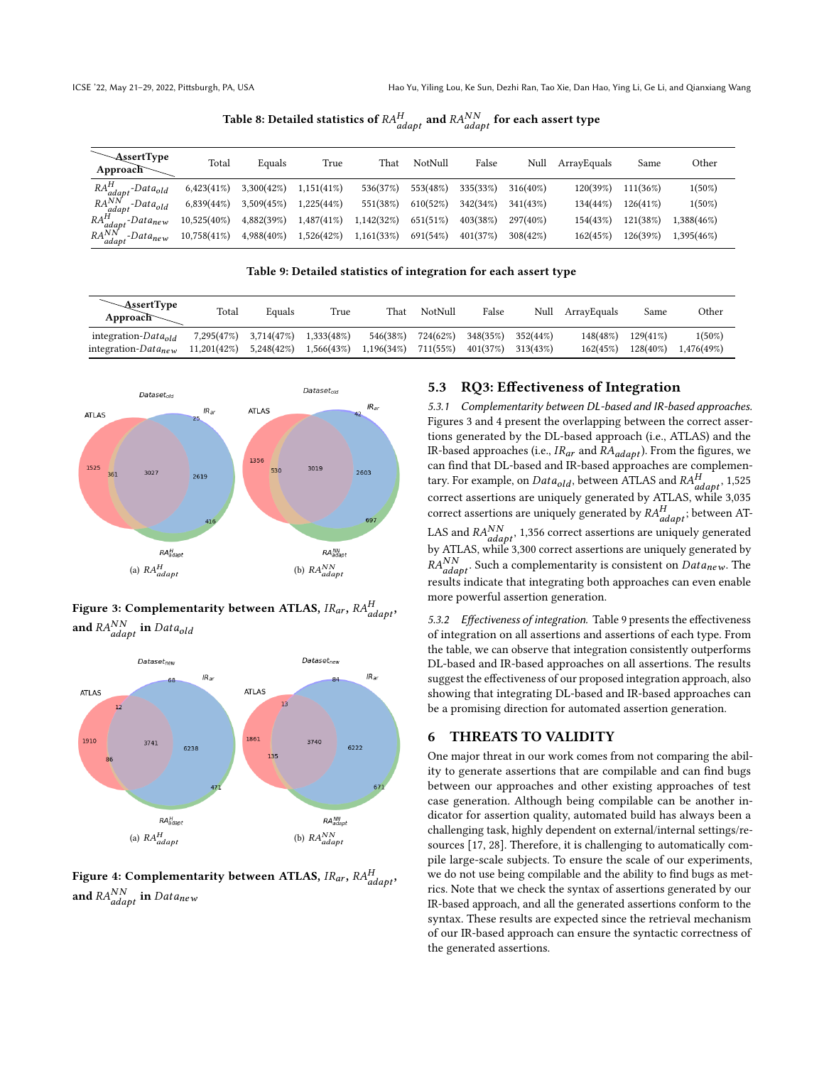Table 8: Detailed statistics of  $\mathit{RA}_{adapt}^H$  and  $\mathit{RA}_{adapt}^{NN}$  for each assert type

<span id="page-9-1"></span>

| $\sim$ AssertType<br>Approad               | Total          | Equals     | True          | That       | NotNull  | False    | Null        | ArrayEquals | Same     | Other      |
|--------------------------------------------|----------------|------------|---------------|------------|----------|----------|-------------|-------------|----------|------------|
| $RA_{adapt}^H$ -Data <sub>old</sub>        | $6,423(41\%)$  | 3,300(42%) | 1,151(41%)    | 536(37%)   | 553(48%) | 335(33%) | $316(40\%)$ | 120(39%)    | 111(36%) | $1(50\%)$  |
| $RA_{adapt}^{NN}$<br>-Data <sub>old</sub>  | 6,839(44%)     | 3,509(45%) | 1,225(44%)    | 551(38%)   | 610(52%) | 342(34%) | 341(43%)    | 134(44%)    | 126(41%) | $1(50\%)$  |
| $RA_{adapt}^H$<br>$.$ -Data <sub>new</sub> | $10,525(40\%)$ | 4,882(39%) | $1,487(41\%)$ | 1,142(32%) | 651(51%) | 403(38%) | 297(40%)    | 154(43%)    | 121(38%) | .388(46%)  |
| $RA_{adapt}^{NN}$<br>Data <sub>new</sub>   | $10,758(41\%)$ | 4,988(40%) | 1,526(42%)    | 1,161(33%) | 691(54%) | 401(37%) | 308(42%)    | 162(45%)    | 126(39%) | 1,395(46%) |

#### Table 9: Detailed statistics of integration for each assert type

<span id="page-9-4"></span>

| <b>AssertType</b><br>Approach   | Total       | Equals     | True       | That       | NotNull  | False    | Null     | ArrayEquals | Same        | Other      |
|---------------------------------|-------------|------------|------------|------------|----------|----------|----------|-------------|-------------|------------|
| integration-Data <sub>old</sub> | 7,295(47%)  | 3,714(47%) | 1.333(48%) | 546(38%)   | 724(62%) | 348(35%) | 352(44%) | 148(48%)    | $129(41\%)$ | $1(50\%)$  |
| integration- $Data_{new}$       | 11,201(42%) | 5.248(42%) | 1,566(43%) | 1,196(34%) | 711(55%) | 401(37%) | 313(43%) | 162(45%)    | $128(40\%)$ | 1.476(49%) |

<span id="page-9-2"></span>

# Figure 3: Complementarity between ATLAS,  $\mathit{IR}_{ar}, \mathit{RA}_{adapt}^H,$ and  $\mathit{RA_{adapt}^{NN}}$  in  $\mathit{Data_{old}}$

<span id="page-9-3"></span>

Figure 4: Complementarity between ATLAS,  $\it IR_{ar},\, \it RA_{adapt}^H,$ and  $RA_{adapt}^{NN}$  in  $Data_{new}$ 

# 5.3 RQ3: Effectiveness of Integration

5.3.1 Complementarity between DL-based and IR-based approaches. Figures [3](#page-9-2) and [4](#page-9-3) present the overlapping between the correct assertions generated by the DL-based approach (i.e., ATLAS) and the IR-based approaches (i.e.,  $IR_{ar}$  and  $RA_{adapt}$ ). From the figures, we can find that DL-based and IR-based approaches are complementary. For example, on  $Data_{old}$ , between ATLAS and  $RA_{adapt}^H$ , 1,525 correct assertions are uniquely generated by ATLAS, while 3,035 correct assertions are uniquely generated by  $RA_{adapt}^H$ ; between AT-LAS and  $RA_{adapt}^{NN}$ , 1,356 correct assertions are uniquely generated by ATLAS, while 3,300 correct assertions are uniquely generated by  $R_{adapt}^{NN}$ . Such a complementarity is consistent on  $Data_{new}$ . The results indicate that integrating both approaches can even enable more powerful assertion generation.

5.3.2 Effectiveness of integration. Table [9](#page-9-4) presents the effectiveness of integration on all assertions and assertions of each type. From the table, we can observe that integration consistently outperforms DL-based and IR-based approaches on all assertions. The results suggest the effectiveness of our proposed integration approach, also showing that integrating DL-based and IR-based approaches can be a promising direction for automated assertion generation.

## <span id="page-9-0"></span>6 THREATS TO VALIDITY

One major threat in our work comes from not comparing the ability to generate assertions that are compilable and can find bugs between our approaches and other existing approaches of test case generation. Although being compilable can be another indicator for assertion quality, automated build has always been a challenging task, highly dependent on external/internal settings/resources [\[17,](#page-10-32) [28\]](#page-10-33). Therefore, it is challenging to automatically compile large-scale subjects. To ensure the scale of our experiments, we do not use being compilable and the ability to find bugs as metrics. Note that we check the syntax of assertions generated by our IR-based approach, and all the generated assertions conform to the syntax. These results are expected since the retrieval mechanism of our IR-based approach can ensure the syntactic correctness of the generated assertions.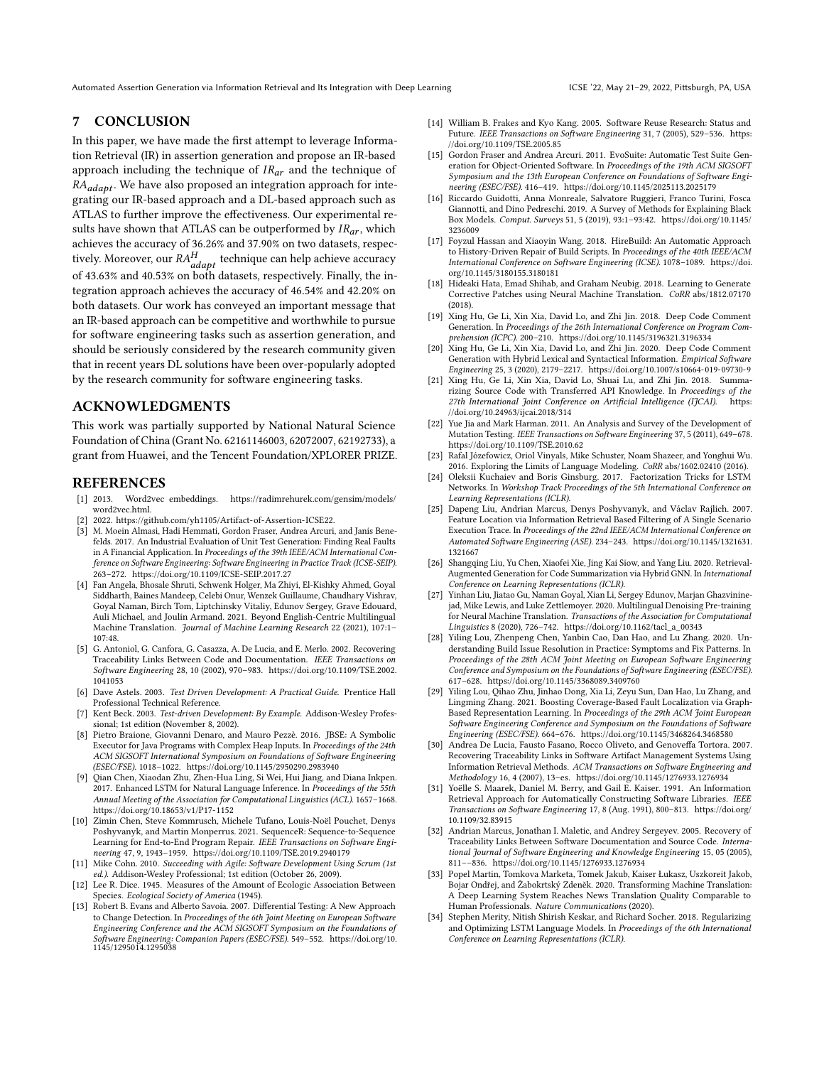## <span id="page-10-11"></span>7 CONCLUSION

In this paper, we have made the first attempt to leverage Information Retrieval (IR) in assertion generation and propose an IR-based approach including the technique of  $IR_{ar}$  and the technique of  $RA_{adapt}$ . We have also proposed an integration approach for integrating our IR-based approach and a DL-based approach such as ATLAS to further improve the effectiveness. Our experimental results have shown that ATLAS can be outperformed by  $IR_{ar}$ , which achieves the accuracy of 36.26% and 37.90% on two datasets, respectively. Moreover, our  $RA_{adapt}^H$  technique can help achieve accuracy of 43.63% and 40.53% on both datasets, respectively. Finally, the integration approach achieves the accuracy of 46.54% and 42.20% on both datasets. Our work has conveyed an important message that an IR-based approach can be competitive and worthwhile to pursue for software engineering tasks such as assertion generation, and should be seriously considered by the research community given that in recent years DL solutions have been over-popularly adopted by the research community for software engineering tasks.

# ACKNOWLEDGMENTS

This work was partially supported by National Natural Science Foundation of China (Grant No. 62161146003, 62072007, 62192733), a grant from Huawei, and the Tencent Foundation/XPLORER PRIZE.

#### REFERENCES

- <span id="page-10-24"></span>[1] 2013. Word2vec embeddings. [https://radimrehurek.com/gensim/models/](https://radimrehurek.com/gensim/models/word2vec.html) word2vec.html
- <span id="page-10-26"></span>[2] 2022. [https://github.com/yh1105/Artifact-of-Assertion-ICSE22.](https://github.com/yh1105/Artifact-of-Assertion-ICSE22)
- <span id="page-10-5"></span>[3] M. Moein Almasi, Hadi Hemmati, Gordon Fraser, Andrea Arcuri, and Janis Benefelds. 2017. An Industrial Evaluation of Unit Test Generation: Finding Real Faults in A Financial Application. In Proceedings of the 39th IEEE/ACM International Conference on Software Engineering: Software Engineering in Practice Track (ICSE-SEIP). 263–272.<https://doi.org/10.1109/ICSE-SEIP.2017.27>
- <span id="page-10-28"></span>[4] Fan Angela, Bhosale Shruti, Schwenk Holger, Ma Zhiyi, El-Kishky Ahmed, Goyal Siddharth, Baines Mandeep, Celebi Onur, Wenzek Guillaume, Chaudhary Vishrav, Goyal Naman, Birch Tom, Liptchinsky Vitaliy, Edunov Sergey, Grave Edouard, Auli Michael, and Joulin Armand. 2021. Beyond English-Centric Multilingual Machine Translation. Journal of Machine Learning Research 22 (2021), 107:1– 107:48.
- <span id="page-10-20"></span>[5] G. Antoniol, G. Canfora, G. Casazza, A. De Lucia, and E. Merlo. 2002. Recovering Traceability Links Between Code and Documentation. IEEE Transactions on Software Engineering 28, 10 (2002), 970–983. [https://doi.org/10.1109/TSE.2002.](https://doi.org/10.1109/TSE.2002.1041053) [1041053](https://doi.org/10.1109/TSE.2002.1041053)
- <span id="page-10-6"></span>[6] Dave Astels. 2003. Test Driven Development: A Practical Guide. Prentice Hall Professional Technical Reference.
- <span id="page-10-7"></span>[7] Kent Beck. 2003. Test-driven Development: By Example. Addison-Wesley Professional; 1st edition (November 8, 2002).
- <span id="page-10-1"></span>[8] Pietro Braione, Giovanni Denaro, and Mauro Pezzè. 2016. JBSE: A Symbolic Executor for Java Programs with Complex Heap Inputs. In Proceedings of the 24th ACM SIGSOFT International Symposium on Foundations of Software Engineering (ESEC/FSE). 1018–1022.<https://doi.org/10.1145/2950290.2983940>
- <span id="page-10-25"></span>[9] Qian Chen, Xiaodan Zhu, Zhen-Hua Ling, Si Wei, Hui Jiang, and Diana Inkpen. 2017. Enhanced LSTM for Natural Language Inference. In Proceedings of the 55th Annual Meeting of the Association for Computational Linguistics (ACL). 1657–1668. <https://doi.org/10.18653/v1/P17-1152>
- <span id="page-10-13"></span>[10] Zimin Chen, Steve Kommrusch, Michele Tufano, Louis-Noël Pouchet, Denys Poshyvanyk, and Martin Monperrus. 2021. SequenceR: Sequence-to-Sequence Learning for End-to-End Program Repair. IEEE Transactions on Software Engineering 47, 9, 1943–1959.<https://doi.org/10.1109/TSE.2019.2940179>
- <span id="page-10-0"></span>[11] Mike Cohn. 2010. Succeeding with Agile: Software Development Using Scrum (1st ed.). Addison-Wesley Professional; 1st edition (October 26, 2009).
- <span id="page-10-31"></span>[12] Lee R. Dice. 1945. Measures of the Amount of Ecologic Association Between Species. Ecological Society of America (1945).
- <span id="page-10-4"></span>[13] Robert B. Evans and Alberto Savoia. 2007. Differential Testing: A New Approach to Change Detection. In Proceedings of the 6th Joint Meeting on European Software Engineering Conference and the ACM SIGSOFT Symposium on the Foundations of Software Engineering: Companion Papers (ESEC/FSE). 549–552. [https://doi.org/10.](https://doi.org/10.1145/1295014.1295038) [1145/1295014.1295038](https://doi.org/10.1145/1295014.1295038)
- <span id="page-10-18"></span>[14] William B. Frakes and Kyo Kang. 2005. Software Reuse Research: Status and Future. IEEE Transactions on Software Engineering 31, 7 (2005), 529–536. [https:](https://doi.org/10.1109/TSE.2005.85) [//doi.org/10.1109/TSE.2005.85](https://doi.org/10.1109/TSE.2005.85)
- <span id="page-10-2"></span>[15] Gordon Fraser and Andrea Arcuri. 2011. EvoSuite: Automatic Test Suite Generation for Object-Oriented Software. In Proceedings of the 19th ACM SIGSOFT Symposium and the 13th European Conference on Foundations of Software Engineering (ESEC/FSE). 416–419.<https://doi.org/10.1145/2025113.2025179>
- <span id="page-10-8"></span>[16] Riccardo Guidotti, Anna Monreale, Salvatore Ruggieri, Franco Turini, Fosca Giannotti, and Dino Pedreschi. 2019. A Survey of Methods for Explaining Black Box Models. Comput. Surveys 51, 5 (2019), 93:1–93:42. [https://doi.org/10.1145/](https://doi.org/10.1145/3236009) [3236009](https://doi.org/10.1145/3236009)
- <span id="page-10-32"></span>[17] Foyzul Hassan and Xiaoyin Wang. 2018. HireBuild: An Automatic Approach to History-Driven Repair of Build Scripts. In Proceedings of the 40th IEEE/ACM International Conference on Software Engineering (ICSE). 1078–1089. [https://doi.](https://doi.org/10.1145/3180155.3180181) [org/10.1145/3180155.3180181](https://doi.org/10.1145/3180155.3180181)
- <span id="page-10-14"></span>[18] Hideaki Hata, Emad Shihab, and Graham Neubig. 2018. Learning to Generate Corrective Patches using Neural Machine Translation. CoRR abs/1812.07170 (2018).
- <span id="page-10-15"></span>[19] Xing Hu, Ge Li, Xin Xia, David Lo, and Zhi Jin. 2018. Deep Code Comment Generation. In Proceedings of the 26th International Conference on Program Comprehension (ICPC). 200–210.<https://doi.org/10.1145/3196321.3196334>
- [20] Xing Hu, Ge Li, Xin Xia, David Lo, and Zhi Jin. 2020. Deep Code Comment Generation with Hybrid Lexical and Syntactical Information. Empirical Software Engineering 25, 3 (2020), 2179–2217.<https://doi.org/10.1007/s10664-019-09730-9>
- <span id="page-10-16"></span>[21] Xing Hu, Ge Li, Xin Xia, David Lo, Shuai Lu, and Zhi Jin. 2018. Summarizing Source Code with Transferred API Knowledge. In Proceedings of the 27th International Joint Conference on Artificial Intelligence (IJCAI). https: 27th International Joint Conference on Artificial Intelligence (IJCAI). [//doi.org/10.24963/ijcai.2018/314](https://doi.org/10.24963/ijcai.2018/314)
- <span id="page-10-3"></span>[22] Yue Jia and Mark Harman. 2011. An Analysis and Survey of the Development of Mutation Testing. IEEE Transactions on Software Engineering 37, 5 (2011), 649–678. <https://doi.org/10.1109/TSE.2010.62>
- <span id="page-10-9"></span>[23] Rafal Józefowicz, Oriol Vinyals, Mike Schuster, Noam Shazeer, and Yonghui Wu. 2016. Exploring the Limits of Language Modeling. CoRR abs/1602.02410 (2016).
- <span id="page-10-10"></span>[24] Oleksii Kuchaiev and Boris Ginsburg. 2017. Factorization Tricks for LSTM Networks. In Workshop Track Proceedings of the 5th International Conference on Learning Representations (ICLR).
- <span id="page-10-17"></span>[25] Dapeng Liu, Andrian Marcus, Denys Poshyvanyk, and Václav Rajlich. 2007. Feature Location via Information Retrieval Based Filtering of A Single Scenario Execution Trace. In Proceedings of the 22nd IEEE/ACM International Conference on Automated Software Engineering (ASE). 234–243. [https://doi.org/10.1145/1321631.](https://doi.org/10.1145/1321631.1321667) [1321667](https://doi.org/10.1145/1321631.1321667)
- <span id="page-10-23"></span>[26] Shangqing Liu, Yu Chen, Xiaofei Xie, Jing Kai Siow, and Yang Liu. 2020. Retrieval-Augmented Generation for Code Summarization via Hybrid GNN. In International Conference on Learning Representations (ICLR).
- <span id="page-10-29"></span>[27] Yinhan Liu, Jiatao Gu, Naman Goyal, Xian Li, Sergey Edunov, Marjan Ghazvininejad, Mike Lewis, and Luke Zettlemoyer. 2020. Multilingual Denoising Pre-training for Neural Machine Translation. Transactions of the Association for Computational Linguistics 8 (2020), 726–742. [https://doi.org/10.1162/tacl\\_a\\_00343](https://doi.org/10.1162/tacl_a_00343)
- <span id="page-10-33"></span>[28] Yiling Lou, Zhenpeng Chen, Yanbin Cao, Dan Hao, and Lu Zhang. 2020. Understanding Build Issue Resolution in Practice: Symptoms and Fix Patterns. In Proceedings of the 28th ACM Joint Meeting on European Software Engineering Conference and Symposium on the Foundations of Software Engineering (ESEC/FSE). 617–628.<https://doi.org/10.1145/3368089.3409760>
- <span id="page-10-12"></span>[29] Yiling Lou, Qihao Zhu, Jinhao Dong, Xia Li, Zeyu Sun, Dan Hao, Lu Zhang, and Lingming Zhang. 2021. Boosting Coverage-Based Fault Localization via Graph-Based Representation Learning. In Proceedings of the 29th ACM Joint European Software Engineering Conference and Symposium on the Foundations of Software Engineering (ESEC/FSE). 664–676.<https://doi.org/10.1145/3468264.3468580>
- <span id="page-10-21"></span>[30] Andrea De Lucia, Fausto Fasano, Rocco Oliveto, and Genoveffa Tortora. 2007. Recovering Traceability Links in Software Artifact Management Systems Using Information Retrieval Methods. ACM Transactions on Software Engineering and Methodology 16, 4 (2007), 13–es.<https://doi.org/10.1145/1276933.1276934>
- <span id="page-10-19"></span>[31] Yoëlle S. Maarek, Daniel M. Berry, and Gail E. Kaiser. 1991. An Information Retrieval Approach for Automatically Constructing Software Libraries. IEEE Transactions on Software Engineering 17, 8 (Aug. 1991), 800–813. [https://doi.org/](https://doi.org/10.1109/32.83915) [10.1109/32.83915](https://doi.org/10.1109/32.83915)
- <span id="page-10-22"></span>[32] Andrian Marcus, Jonathan I. Maletic, and Andrey Sergeyev. 2005. Recovery of Traceability Links Between Software Documentation and Source Code. International Journal of Software Engineering and Knowledge Engineering 15, 05 (2005), 811––836.<https://doi.org/10.1145/1276933.1276934>
- <span id="page-10-30"></span>[33] Popel Martin, Tomkova Marketa, Tomek Jakub, Kaiser Łukasz, Uszkoreit Jakob, Bojar Ondřej, and Žabokrtský Zdeněk. 2020. Transforming Machine Translation: A Deep Learning System Reaches News Translation Quality Comparable to Human Professionals. Nature Communications (2020).
- <span id="page-10-27"></span>[34] Stephen Merity, Nitish Shirish Keskar, and Richard Socher. 2018. Regularizing and Optimizing LSTM Language Models. In Proceedings of the 6th International Conference on Learning Representations (ICLR).